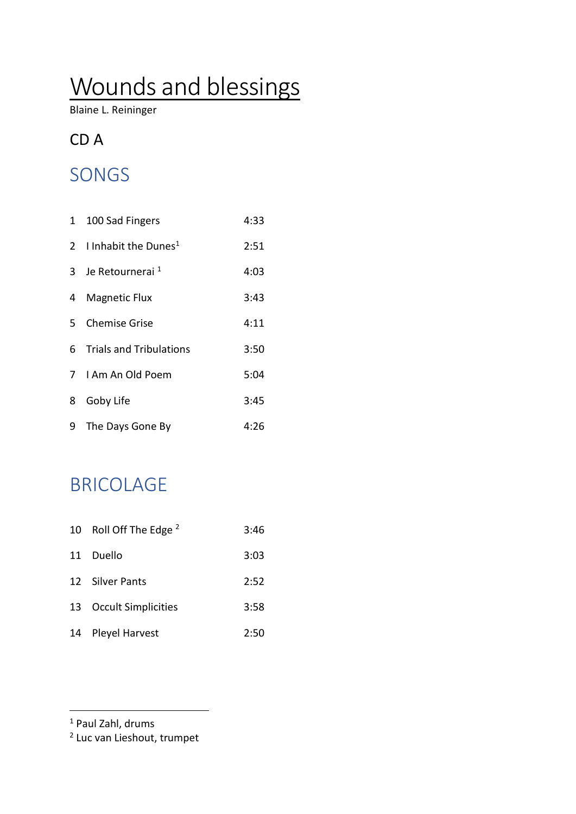# Wounds and blessings

Blaine L. Reininger

#### CD A

# SONGS

|   | 1 100 Sad Fingers                  | 4:33 |
|---|------------------------------------|------|
|   | 2 I Inhabit the Dunes <sup>1</sup> | 2:51 |
|   | 3 Je Retournerai <sup>1</sup>      | 4:03 |
| 4 | <b>Magnetic Flux</b>               | 3:43 |
|   | 5 Chemise Grise                    | 4:11 |
| 6 | <b>Trials and Tribulations</b>     | 3:50 |
|   | 7 I Am An Old Poem                 | 5:04 |
| 8 | Goby Life                          | 3:45 |
| 9 | The Days Gone By                   | 4:26 |

## BRICOLAGE

| 10 | Roll Off The Edge <sup>2</sup> | 3:46 |
|----|--------------------------------|------|
|    | 11 Duello                      | 3:03 |
|    | 12 Silver Pants                | 2:52 |
|    | 13 Occult Simplicities         | 3:58 |
|    | 14 Pleyel Harvest              | 2:50 |

<sup>1</sup> Paul Zahl, drums

<u>.</u>

2 Luc van Lieshout, trumpet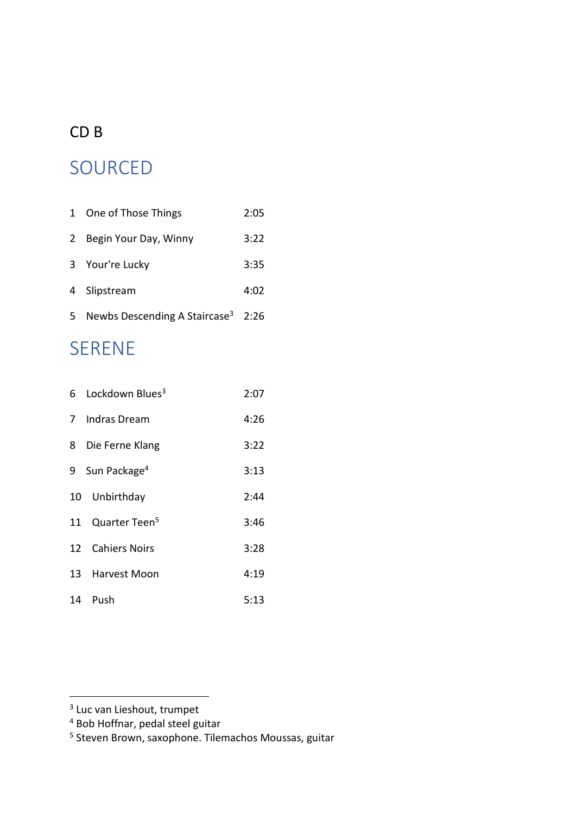#### CD B

### SOURCED

| $\mathbf{1}$ | One of Those Things                            | 2:05 |
|--------------|------------------------------------------------|------|
| 2            | Begin Your Day, Winny                          | 3:22 |
|              | 3 Your're Lucky                                | 3:35 |
| 4            | Slipstream                                     | 4:02 |
| 5            | Newbs Descending A Staircase <sup>3</sup> 2:26 |      |

# SERENE

| 6 Lockdown Blues <sup>3</sup>      | 2:07 |
|------------------------------------|------|
| 7 Indras Dream                     |      |
| 3:22<br>8 Die Ferne Klang          |      |
| 9 Sun Package <sup>4</sup><br>3:13 |      |
| 10 Unbirthday                      | 2:44 |
| 11 Quarter Teen <sup>5</sup>       | 3:46 |
| 12 Cahiers Noirs                   | 3:28 |
| 13 Harvest Moon                    | 4:19 |
| 14 Push                            | 5:13 |

<u>.</u>

<sup>&</sup>lt;sup>3</sup> Luc van Lieshout, trumpet

<sup>4</sup> Bob Hoffnar, pedal steel guitar

<sup>5</sup> Steven Brown, saxophone. Tilemachos Moussas, guitar